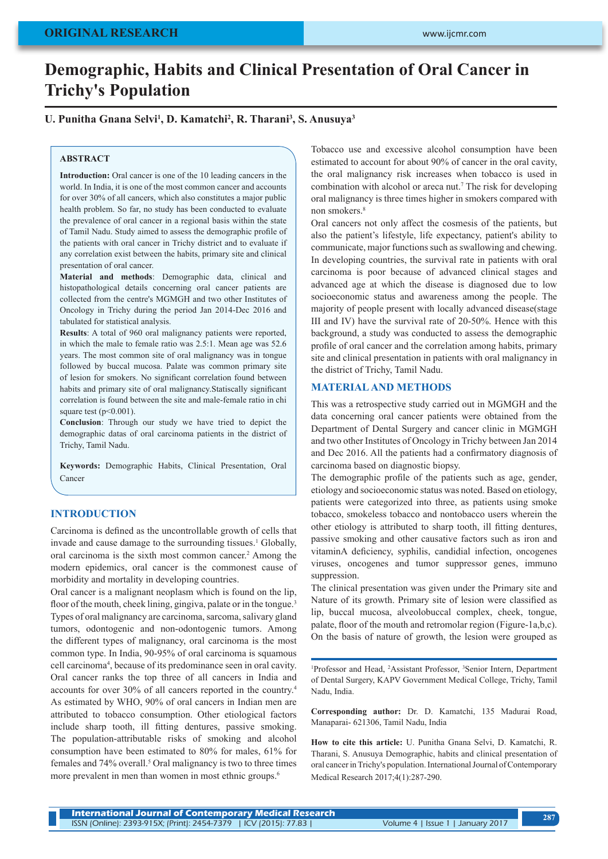# **Demographic, Habits and Clinical Presentation of Oral Cancer in Trichy's Population**

# U. Punitha Gnana Selvi<sup>1</sup>, D. Kamatchi<sup>2</sup>, R. Tharani<sup>3</sup>, S. Anusuya<sup>3</sup>

#### **ABSTRACT**

**Introduction:** Oral cancer is one of the 10 leading cancers in the world. In India, it is one of the most common cancer and accounts for over 30% of all cancers, which also constitutes a major public health problem. So far, no study has been conducted to evaluate the prevalence of oral cancer in a regional basis within the state of Tamil Nadu. Study aimed to assess the demographic profile of the patients with oral cancer in Trichy district and to evaluate if any correlation exist between the habits, primary site and clinical presentation of oral cancer.

**Material and methods**: Demographic data, clinical and histopathological details concerning oral cancer patients are collected from the centre's MGMGH and two other Institutes of Oncology in Trichy during the period Jan 2014-Dec 2016 and tabulated for statistical analysis.

**Results**: A total of 960 oral malignancy patients were reported, in which the male to female ratio was 2.5:1. Mean age was 52.6 years. The most common site of oral malignancy was in tongue followed by buccal mucosa. Palate was common primary site of lesion for smokers. No significant correlation found between habits and primary site of oral malignancy.Statiscally significant correlation is found between the site and male-female ratio in chi square test ( $p<0.001$ ).

**Conclusion**: Through our study we have tried to depict the demographic datas of oral carcinoma patients in the district of Trichy, Tamil Nadu.

**Keywords:** Demographic Habits, Clinical Presentation, Oral Cancer

## **INTRODUCTION**

Carcinoma is defined as the uncontrollable growth of cells that invade and cause damage to the surrounding tissues.<sup>1</sup> Globally, oral carcinoma is the sixth most common cancer.<sup>2</sup> Among the modern epidemics, oral cancer is the commonest cause of morbidity and mortality in developing countries.

Oral cancer is a malignant neoplasm which is found on the lip, floor of the mouth, cheek lining, gingiva, palate or in the tongue.<sup>3</sup> Types of oral malignancy are carcinoma, sarcoma, salivary gland tumors, odontogenic and non-odontogenic tumors. Among the different types of malignancy, oral carcinoma is the most common type. In India, 90-95% of oral carcinoma is squamous cell carcinoma4 , because of its predominance seen in oral cavity. Oral cancer ranks the top three of all cancers in India and accounts for over 30% of all cancers reported in the country.4 As estimated by WHO, 90% of oral cancers in Indian men are attributed to tobacco consumption. Other etiological factors include sharp tooth, ill fitting dentures, passive smoking. The population-attributable risks of smoking and alcohol consumption have been estimated to 80% for males, 61% for females and 74% overall.<sup>5</sup> Oral malignancy is two to three times more prevalent in men than women in most ethnic groups.<sup>6</sup>

Tobacco use and excessive alcohol consumption have been estimated to account for about 90% of cancer in the oral cavity, the oral malignancy risk increases when tobacco is used in combination with alcohol or areca nut.7 The risk for developing oral malignancy is three times higher in smokers compared with non smokers.<sup>8</sup>

Oral cancers not only affect the cosmesis of the patients, but also the patient's lifestyle, life expectancy, patient's ability to communicate, major functions such as swallowing and chewing. In developing countries, the survival rate in patients with oral carcinoma is poor because of advanced clinical stages and advanced age at which the disease is diagnosed due to low socioeconomic status and awareness among the people. The majority of people present with locally advanced disease(stage III and IV) have the survival rate of 20-50%. Hence with this background, a study was conducted to assess the demographic profile of oral cancer and the correlation among habits, primary site and clinical presentation in patients with oral malignancy in the district of Trichy, Tamil Nadu.

#### **MATERIAL AND METHODS**

This was a retrospective study carried out in MGMGH and the data concerning oral cancer patients were obtained from the Department of Dental Surgery and cancer clinic in MGMGH and two other Institutes of Oncology in Trichy between Jan 2014 and Dec 2016. All the patients had a confirmatory diagnosis of carcinoma based on diagnostic biopsy.

The demographic profile of the patients such as age, gender, etiology and socioeconomic status was noted. Based on etiology, patients were categorized into three, as patients using smoke tobacco, smokeless tobacco and nontobacco users wherein the other etiology is attributed to sharp tooth, ill fitting dentures, passive smoking and other causative factors such as iron and vitaminA deficiency, syphilis, candidial infection, oncogenes viruses, oncogenes and tumor suppressor genes, immuno suppression.

The clinical presentation was given under the Primary site and Nature of its growth. Primary site of lesion were classified as lip, buccal mucosa, alveolobuccal complex, cheek, tongue, palate, floor of the mouth and retromolar region (Figure-1a,b,c). On the basis of nature of growth, the lesion were grouped as

<sup>1</sup>Professor and Head, <sup>2</sup>Assistant Professor, <sup>3</sup>Senior Intern, Department of Dental Surgery, KAPV Government Medical College, Trichy, Tamil Nadu, India.

**Corresponding author:** Dr. D. Kamatchi, 135 Madurai Road, Manaparai- 621306, Tamil Nadu, India

**How to cite this article:** U. Punitha Gnana Selvi, D. Kamatchi, R. Tharani, S. Anusuya Demographic, habits and clinical presentation of oral cancer in Trichy's population. International Journal of Contemporary Medical Research 2017;4(1):287-290.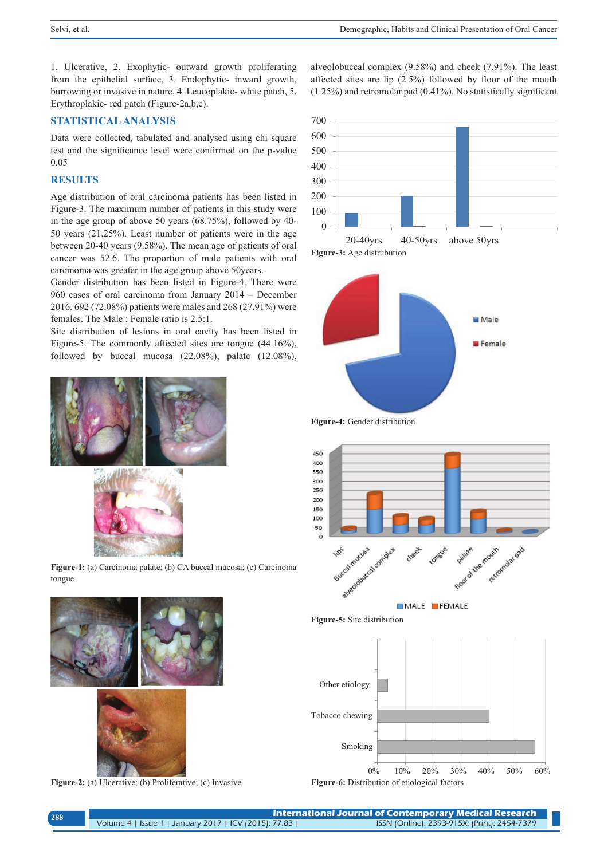alveolobuccal complex (9.58%) and cheek (7.91%). The least affected sites are lip (2.5%) followed by floor of the mouth (1.25%) and retromolar pad (0.41%). No statistically significant

1. Ulcerative, 2. Exophytic- outward growth proliferating from the epithelial surface, 3. Endophytic- inward growth, burrowing or invasive in nature, 4. Leucoplakic- white patch, 5. Erythroplakic- red patch (Figure-2a,b,c).

## **STATISTICAL ANALYSIS**

Data were collected, tabulated and analysed using chi square test and the significance level were confirmed on the p-value 0.05

## **RESULTS**

Age distribution of oral carcinoma patients has been listed in Figure-3. The maximum number of patients in this study were in the age group of above 50 years (68.75%), followed by 40- 50 years (21.25%). Least number of patients were in the age between 20-40 years (9.58%). The mean age of patients of oral cancer was 52.6. The proportion of male patients with oral carcinoma was greater in the age group above 50years.

Gender distribution has been listed in Figure-4. There were 960 cases of oral carcinoma from January 2014 – December 2016. 692 (72.08%) patients were males and 268 (27.91%) were females. The Male : Female ratio is 2.5:1.

Site distribution of lesions in oral cavity has been listed in Figure-5. The commonly affected sites are tongue (44.16%), followed by buccal mucosa  $(22.08\%)$ , palate  $(12.08\%)$ ,



**Figure-1:** (a) Carcinoma palate; (b) CA buccal mucosa; (c) Carcinoma tongue



**Figure-2:** (a) Ulcerative; (b) Proliferative; (c) Invasive











MALE FEMALE

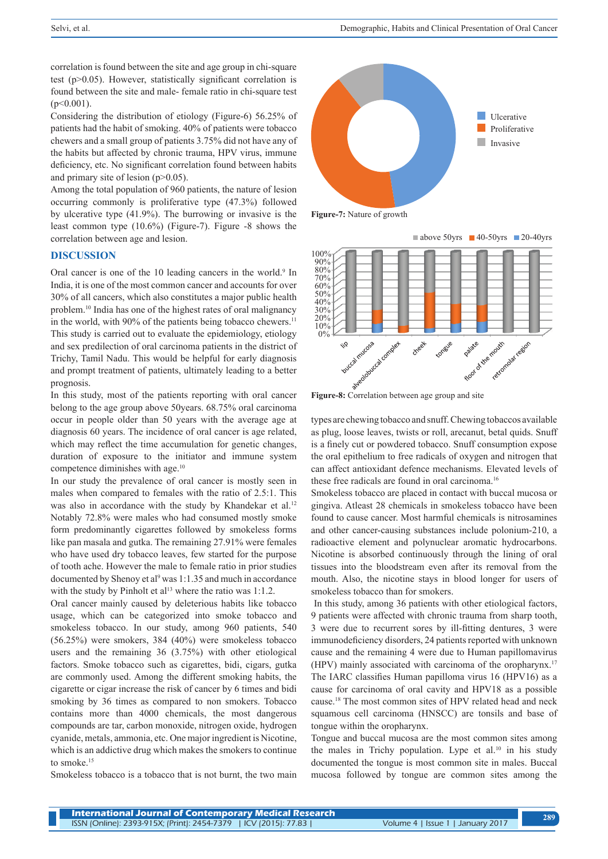correlation is found between the site and age group in chi-square test (p>0.05). However, statistically significant correlation is found between the site and male- female ratio in chi-square test  $(p<0.001)$ .

Considering the distribution of etiology (Figure-6) 56.25% of patients had the habit of smoking. 40% of patients were tobacco chewers and a small group of patients 3.75% did not have any of the habits but affected by chronic trauma, HPV virus, immune deficiency, etc. No significant correlation found between habits and primary site of lesion  $(p>0.05)$ .

Among the total population of 960 patients, the nature of lesion occurring commonly is proliferative type (47.3%) followed by ulcerative type (41.9%). The burrowing or invasive is the least common type (10.6%) (Figure-7). Figure -8 shows the correlation between age and lesion.

#### **DISCUSSION**

Oral cancer is one of the 10 leading cancers in the world.<sup>9</sup> In India, it is one of the most common cancer and accounts for over 30% of all cancers, which also constitutes a major public health problem.10 India has one of the highest rates of oral malignancy in the world, with 90% of the patients being tobacco chewers.<sup>11</sup> This study is carried out to evaluate the epidemiology, etiology and sex predilection of oral carcinoma patients in the district of Trichy, Tamil Nadu. This would be helpful for early diagnosis and prompt treatment of patients, ultimately leading to a better prognosis.

In this study, most of the patients reporting with oral cancer belong to the age group above 50years. 68.75% oral carcinoma occur in people older than 50 years with the average age at diagnosis 60 years. The incidence of oral cancer is age related, which may reflect the time accumulation for genetic changes, duration of exposure to the initiator and immune system competence diminishes with age.<sup>10</sup>

In our study the prevalence of oral cancer is mostly seen in males when compared to females with the ratio of 2.5:1. This was also in accordance with the study by Khandekar et al.<sup>12</sup> Notably 72.8% were males who had consumed mostly smoke form predominantly cigarettes followed by smokeless forms like pan masala and gutka. The remaining 27.91% were females who have used dry tobacco leaves, few started for the purpose of tooth ache. However the male to female ratio in prior studies documented by Shenoy et al<sup>9</sup> was 1:1.35 and much in accordance with the study by Pinholt et al<sup>13</sup> where the ratio was  $1:1.2$ .

Oral cancer mainly caused by deleterious habits like tobacco usage, which can be categorized into smoke tobacco and smokeless tobacco. In our study, among 960 patients, 540 (56.25%) were smokers, 384 (40%) were smokeless tobacco users and the remaining 36 (3.75%) with other etiological factors. Smoke tobacco such as cigarettes, bidi, cigars, gutka are commonly used. Among the different smoking habits, the cigarette or cigar increase the risk of cancer by 6 times and bidi smoking by 36 times as compared to non smokers. Tobacco contains more than 4000 chemicals, the most dangerous compounds are tar, carbon monoxide, nitrogen oxide, hydrogen cyanide, metals, ammonia, etc. One major ingredient is Nicotine, which is an addictive drug which makes the smokers to continue to smoke.<sup>15</sup>

Smokeless tobacco is a tobacco that is not burnt, the two main







types are chewing tobacco and snuff. Chewing tobaccos available as plug, loose leaves, twists or roll, arecanut, betal quids. Snuff is a finely cut or powdered tobacco. Snuff consumption expose the oral epithelium to free radicals of oxygen and nitrogen that can affect antioxidant defence mechanisms. Elevated levels of these free radicals are found in oral carcinoma.<sup>16</sup>

Smokeless tobacco are placed in contact with buccal mucosa or gingiva. Atleast 28 chemicals in smokeless tobacco have been found to cause cancer. Most harmful chemicals is nitrosamines and other cancer-causing substances include polonium-210, a radioactive element and polynuclear aromatic hydrocarbons. Nicotine is absorbed continuously through the lining of oral tissues into the bloodstream even after its removal from the mouth. Also, the nicotine stays in blood longer for users of smokeless tobacco than for smokers.

 In this study, among 36 patients with other etiological factors, 9 patients were affected with chronic trauma from sharp tooth, 3 were due to recurrent sores by ill-fitting dentures, 3 were immunodeficiency disorders, 24 patients reported with unknown cause and the remaining 4 were due to Human papillomavirus (HPV) mainly associated with carcinoma of the oropharynx.17 The IARC classifies Human papilloma virus 16 (HPV16) as a cause for carcinoma of oral cavity and HPV18 as a possible cause.18 The most common sites of HPV related head and neck squamous cell carcinoma (HNSCC) are tonsils and base of tongue within the oropharynx.

Tongue and buccal mucosa are the most common sites among the males in Trichy population. Lype et al.<sup>10</sup> in his study documented the tongue is most common site in males. Buccal mucosa followed by tongue are common sites among the